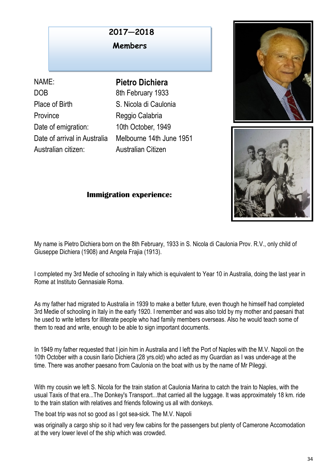## COMMITTEE **2017—2018**

**Members** 

NAME: **Pietro Dichiera** DOB 8th February 1933 Place of Birth S. Nicola di Caulonia Province Reggio Calabria Date of emigration: 10th October, 1949 Australian citizen: Australian Citizen

Date of arrival in Australia Melbourne 14th June 1951





## **Immigration experience:**

My name is Pietro Dichiera born on the 8th February, 1933 in S. Nicola di Caulonia Prov. R.V., only child of Giuseppe Dichiera (1908) and Angela Frajia (1913).

I completed my 3rd Medie of schooling in Italy which is equivalent to Year 10 in Australia, doing the last year in Rome at Instituto Gennasiale Roma.

As my father had migrated to Australia in 1939 to make a better future, even though he himself had completed 3rd Medie of schooling in Italy in the early 1920. I remember and was also told by my mother and paesani that he used to write letters for illiterate people who had family members overseas. Also he would teach some of them to read and write, enough to be able to sign important documents.

In 1949 my father requested that I join him in Australia and I left the Port of Naples with the M.V. Napoli on the 10th October with a cousin Ilario Dichiera (28 yrs.old) who acted as my Guardian as I was under-age at the time. There was another paesano from Caulonia on the boat with us by the name of Mr Pileggi.

With my cousin we left S. Nicola for the train station at Caulonia Marina to catch the train to Naples, with the usual Taxis of that era...The Donkey's Transport...that carried all the luggage. It was approximately 18 km. ride to the train station with relatives and friends following us all with donkeys.

The boat trip was not so good as I got sea-sick. The M.V. Napoli

was originally a cargo ship so it had very few cabins for the passengers but plenty of Camerone Accomodation at the very lower level of the ship which was crowded.